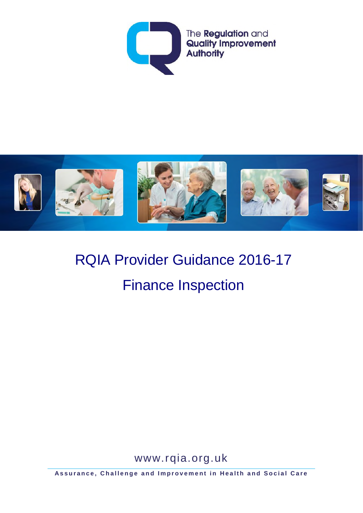



# RQIA Provider Guidance 2016-17 Finance Inspection

www.rqia.org.uk

**Assurance, Challenge and Improvement in Health and Social Care**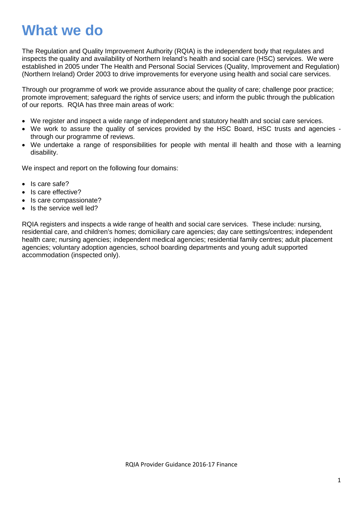## **What we do**

The Regulation and Quality Improvement Authority (RQIA) is the independent body that regulates and inspects the quality and availability of Northern Ireland's health and social care (HSC) services. We were established in 2005 under The Health and Personal Social Services (Quality, Improvement and Regulation) (Northern Ireland) Order 2003 to drive improvements for everyone using health and social care services.

Through our programme of work we provide assurance about the quality of care; challenge poor practice; promote improvement; safeguard the rights of service users; and inform the public through the publication of our reports. RQIA has three main areas of work:

- We register and inspect a wide range of independent and statutory health and social care services.
- We work to assure the quality of services provided by the HSC Board, HSC trusts and agencies through our programme of reviews.
- We undertake a range of responsibilities for people with mental ill health and those with a learning disability.

We inspect and report on the following four domains:

- Is care safe?
- Is care effective?
- Is care compassionate?
- Is the service well led?

RQIA registers and inspects a wide range of health and social care services. These include: nursing, residential care, and children's homes; domiciliary care agencies; day care settings/centres; independent health care; nursing agencies; independent medical agencies; residential family centres; adult placement agencies; voluntary adoption agencies, school boarding departments and young adult supported accommodation (inspected only).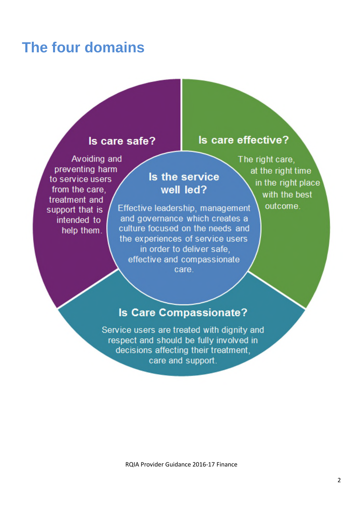## **The four domains**

### Is care safe?

Is care effective?

Avoiding and preventing harm to service users from the care. treatment and support that is intended to help them.

Is the service well led? Effective leadership, management and governance which creates a culture focused on the needs and the experiences of service users in order to deliver safe,

effective and compassionate care.

The right care, at the right time in the right place with the best outcome.

### **Is Care Compassionate?**

Service users are treated with dignity and respect and should be fully involved in decisions affecting their treatment. care and support.

RQIA Provider Guidance 2016-17 Finance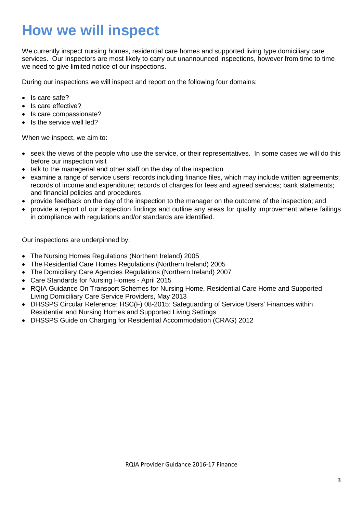## **How we will inspect**

We currently inspect nursing homes, residential care homes and supported living type domiciliary care services. Our inspectors are most likely to carry out unannounced inspections, however from time to time we need to give limited notice of our inspections.

During our inspections we will inspect and report on the following four domains:

- Is care safe?
- Is care effective?
- Is care compassionate?
- Is the service well led?

When we inspect, we aim to:

- seek the views of the people who use the service, or their representatives. In some cases we will do this before our inspection visit
- talk to the managerial and other staff on the day of the inspection
- examine a range of service users' records including finance files, which may include written agreements; records of income and expenditure; records of charges for fees and agreed services; bank statements; and financial policies and procedures
- provide feedback on the day of the inspection to the manager on the outcome of the inspection; and
- provide a report of our inspection findings and outline any areas for quality improvement where failings in compliance with regulations and/or standards are identified.

Our inspections are underpinned by:

- The Nursing Homes Regulations (Northern Ireland) 2005
- The Residential Care Homes Regulations (Northern Ireland) 2005
- The Domiciliary Care Agencies Regulations (Northern Ireland) 2007
- Care Standards for Nursing Homes April 2015
- RQIA Guidance On Transport Schemes for Nursing Home, Residential Care Home and Supported Living Domiciliary Care Service Providers, May 2013
- DHSSPS Circular Reference: HSC(F) 08-2015: Safeguarding of Service Users' Finances within Residential and Nursing Homes and Supported Living Settings
- DHSSPS Guide on Charging for Residential Accommodation (CRAG) 2012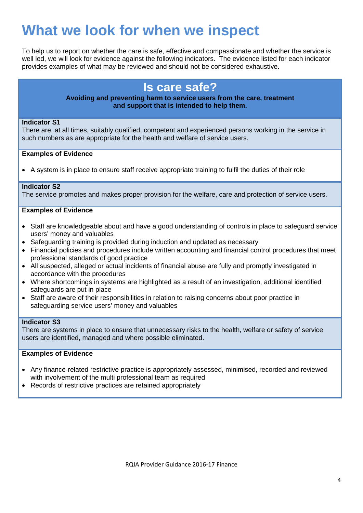## **What we look for when we inspect**

To help us to report on whether the care is safe, effective and compassionate and whether the service is well led, we will look for evidence against the following indicators. The evidence listed for each indicator provides examples of what may be reviewed and should not be considered exhaustive.

## **Is care safe?**

#### **Avoiding and preventing harm to service users from the care, treatment and support that is intended to help them.**

#### **Indicator S1**

There are, at all times, suitably qualified, competent and experienced persons working in the service in such numbers as are appropriate for the health and welfare of service users.

#### **Examples of Evidence**

• A system is in place to ensure staff receive appropriate training to fulfil the duties of their role

#### **Indicator S2**

The service promotes and makes proper provision for the welfare, care and protection of service users.

#### **Examples of Evidence**

- Staff are knowledgeable about and have a good understanding of controls in place to safeguard service users' money and valuables
- Safeguarding training is provided during induction and updated as necessary
- Financial policies and procedures include written accounting and financial control procedures that meet professional standards of good practice
- All suspected, alleged or actual incidents of financial abuse are fully and promptly investigated in accordance with the procedures
- Where shortcomings in systems are highlighted as a result of an investigation, additional identified safeguards are put in place
- Staff are aware of their responsibilities in relation to raising concerns about poor practice in safeguarding service users' money and valuables

#### **Indicator S3**

There are systems in place to ensure that unnecessary risks to the health, welfare or safety of service users are identified, managed and where possible eliminated.

- Any finance-related restrictive practice is appropriately assessed, minimised, recorded and reviewed with involvement of the multi professional team as required
- Records of restrictive practices are retained appropriately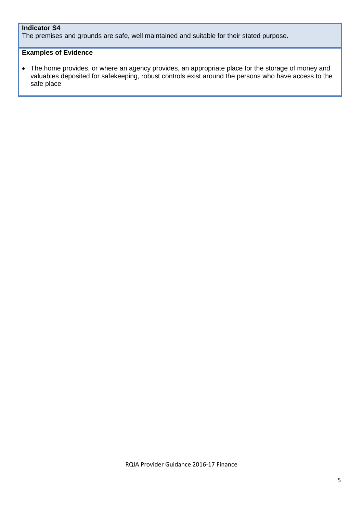#### **Indicator S4**

The premises and grounds are safe, well maintained and suitable for their stated purpose.

#### **Examples of Evidence**

• The home provides, or where an agency provides, an appropriate place for the storage of money and valuables deposited for safekeeping, robust controls exist around the persons who have access to the safe place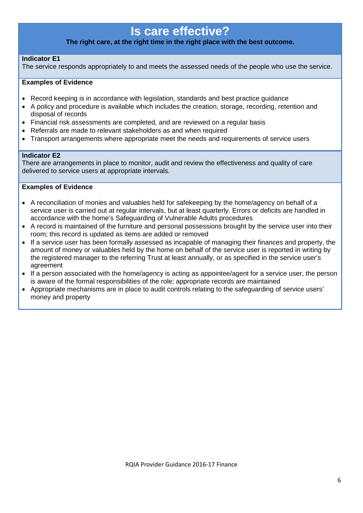### **Is care effective?**

#### **The right care, at the right time in the right place with the best outcome.**

#### **Indicator E1**

The service responds appropriately to and meets the assessed needs of the people who use the service.

#### **Examples of Evidence**

- Record keeping is in accordance with legislation, standards and best practice guidance
- A policy and procedure is available which includes the creation, storage, recording, retention and disposal of records
- Financial risk assessments are completed, and are reviewed on a regular basis
- Referrals are made to relevant stakeholders as and when required
- Transport arrangements where appropriate meet the needs and requirements of service users

#### **Indicator E2**

There are arrangements in place to monitor, audit and review the effectiveness and quality of care delivered to service users at appropriate intervals.

- A reconciliation of monies and valuables held for safekeeping by the home/agency on behalf of a service user is carried out at regular intervals, but at least quarterly. Errors or deficits are handled in accordance with the home's Safeguarding of Vulnerable Adults procedures
- A record is maintained of the furniture and personal possessions brought by the service user into their room; this record is updated as items are added or removed
- If a service user has been formally assessed as incapable of managing their finances and property, the amount of money or valuables held by the home on behalf of the service user is reported in writing by the registered manager to the referring Trust at least annually, or as specified in the service user's agreement
- If a person associated with the home/agency is acting as appointee/agent for a service user, the person is aware of the formal responsibilities of the role; appropriate records are maintained
- Appropriate mechanisms are in place to audit controls relating to the safeguarding of service users' money and property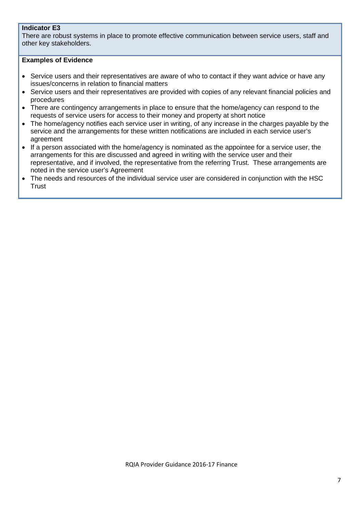#### **Indicator E3**

There are robust systems in place to promote effective communication between service users, staff and other key stakeholders.

- Service users and their representatives are aware of who to contact if they want advice or have any issues/concerns in relation to financial matters
- Service users and their representatives are provided with copies of any relevant financial policies and procedures
- There are contingency arrangements in place to ensure that the home/agency can respond to the requests of service users for access to their money and property at short notice
- The home/agency notifies each service user in writing, of any increase in the charges payable by the service and the arrangements for these written notifications are included in each service user's agreement
- If a person associated with the home/agency is nominated as the appointee for a service user, the arrangements for this are discussed and agreed in writing with the service user and their representative, and if involved, the representative from the referring Trust. These arrangements are noted in the service user's Agreement
- The needs and resources of the individual service user are considered in conjunction with the HSC **Trust**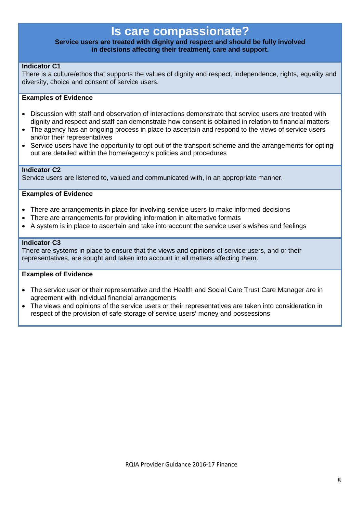### **Is care compassionate?**

#### **Service users are treated with dignity and respect and should be fully involved in decisions affecting their treatment, care and support.**

#### **Indicator C1**

There is a culture/ethos that supports the values of dignity and respect, independence, rights, equality and diversity, choice and consent of service users.

#### **Examples of Evidence**

- Discussion with staff and observation of interactions demonstrate that service users are treated with dignity and respect and staff can demonstrate how consent is obtained in relation to financial matters
- The agency has an ongoing process in place to ascertain and respond to the views of service users and/or their representatives
- Service users have the opportunity to opt out of the transport scheme and the arrangements for opting out are detailed within the home/agency's policies and procedures

#### **Indicator C2**

Service users are listened to, valued and communicated with, in an appropriate manner.

#### **Examples of Evidence**

- There are arrangements in place for involving service users to make informed decisions
- There are arrangements for providing information in alternative formats
- A system is in place to ascertain and take into account the service user's wishes and feelings

#### **Indicator C3**

There are systems in place to ensure that the views and opinions of service users, and or their representatives, are sought and taken into account in all matters affecting them.

- The service user or their representative and the Health and Social Care Trust Care Manager are in agreement with individual financial arrangements
- The views and opinions of the service users or their representatives are taken into consideration in respect of the provision of safe storage of service users' money and possessions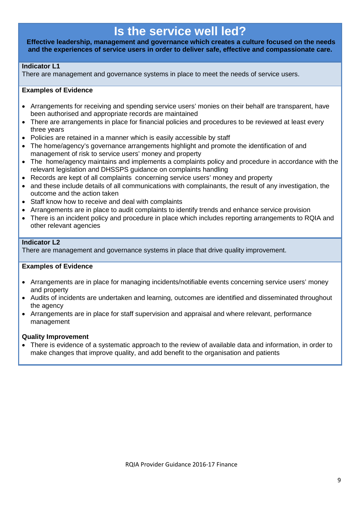### **Is the service well led?**

**Effective leadership, management and governance which creates a culture focused on the needs and the experiences of service users in order to deliver safe, effective and compassionate care.**

#### **Indicator L1**

There are management and governance systems in place to meet the needs of service users.

#### **Examples of Evidence**

- Arrangements for receiving and spending service users' monies on their behalf are transparent, have been authorised and appropriate records are maintained
- There are arrangements in place for financial policies and procedures to be reviewed at least every three years
- Policies are retained in a manner which is easily accessible by staff
- The home/agency's governance arrangements highlight and promote the identification of and management of risk to service users' money and property
- The home/agency maintains and implements a complaints policy and procedure in accordance with the relevant legislation and DHSSPS guidance on complaints handling
- Records are kept of all complaints concerning service users' money and property
- and these include details of all communications with complainants, the result of any investigation, the outcome and the action taken
- Staff know how to receive and deal with complaints
- Arrangements are in place to audit complaints to identify trends and enhance service provision
- There is an incident policy and procedure in place which includes reporting arrangements to RQIA and other relevant agencies

#### **Indicator L2**

There are management and governance systems in place that drive quality improvement.

#### **Examples of Evidence**

- Arrangements are in place for managing incidents/notifiable events concerning service users' money and property
- Audits of incidents are undertaken and learning, outcomes are identified and disseminated throughout the agency
- Arrangements are in place for staff supervision and appraisal and where relevant, performance management

#### **Quality Improvement**

• There is evidence of a systematic approach to the review of available data and information, in order to make changes that improve quality, and add benefit to the organisation and patients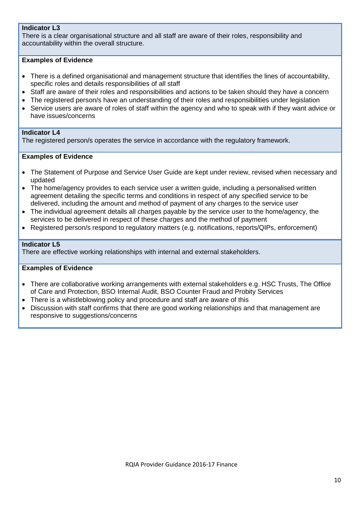#### **Indicator L3**

There is a clear organisational structure and all staff are aware of their roles, responsibility and accountability within the overall structure.

#### **Examples of Evidence**

- There is a defined organisational and management structure that identifies the lines of accountability, specific roles and details responsibilities of all staff
- Staff are aware of their roles and responsibilities and actions to be taken should they have a concern
- The registered person/s have an understanding of their roles and responsibilities under legislation
- Service users are aware of roles of staff within the agency and who to speak with if they want advice or have issues/concerns

#### **Indicator L4**

The registered person/s operates the service in accordance with the regulatory framework.

#### **Examples of Evidence**

- The Statement of Purpose and Service User Guide are kept under review, revised when necessary and updated
- The home/agency provides to each service user a written guide, including a personalised written agreement detailing the specific terms and conditions in respect of any specified service to be delivered, including the amount and method of payment of any charges to the service user
- The individual agreement details all charges payable by the service user to the home/agency, the services to be delivered in respect of these charges and the method of payment
- Registered person/s respond to regulatory matters (e.g. notifications, reports/QIPs, enforcement)

#### **Indicator L5**

There are effective working relationships with internal and external stakeholders.

- There are collaborative working arrangements with external stakeholders e.g. HSC Trusts, The Office of Care and Protection, BSO Internal Audit, BSO Counter Fraud and Probity Services
- There is a whistleblowing policy and procedure and staff are aware of this
- Discussion with staff confirms that there are good working relationships and that management are responsive to suggestions/concerns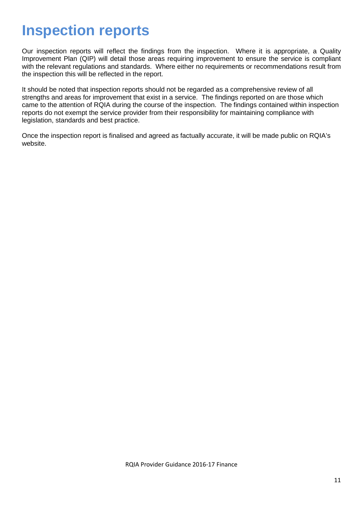## **Inspection reports**

Our inspection reports will reflect the findings from the inspection. Where it is appropriate, a Quality Improvement Plan (QIP) will detail those areas requiring improvement to ensure the service is compliant with the relevant regulations and standards. Where either no requirements or recommendations result from the inspection this will be reflected in the report.

It should be noted that inspection reports should not be regarded as a comprehensive review of all strengths and areas for improvement that exist in a service. The findings reported on are those which came to the attention of RQIA during the course of the inspection. The findings contained within inspection reports do not exempt the service provider from their responsibility for maintaining compliance with legislation, standards and best practice.

Once the inspection report is finalised and agreed as factually accurate, it will be made public on RQIA's website.